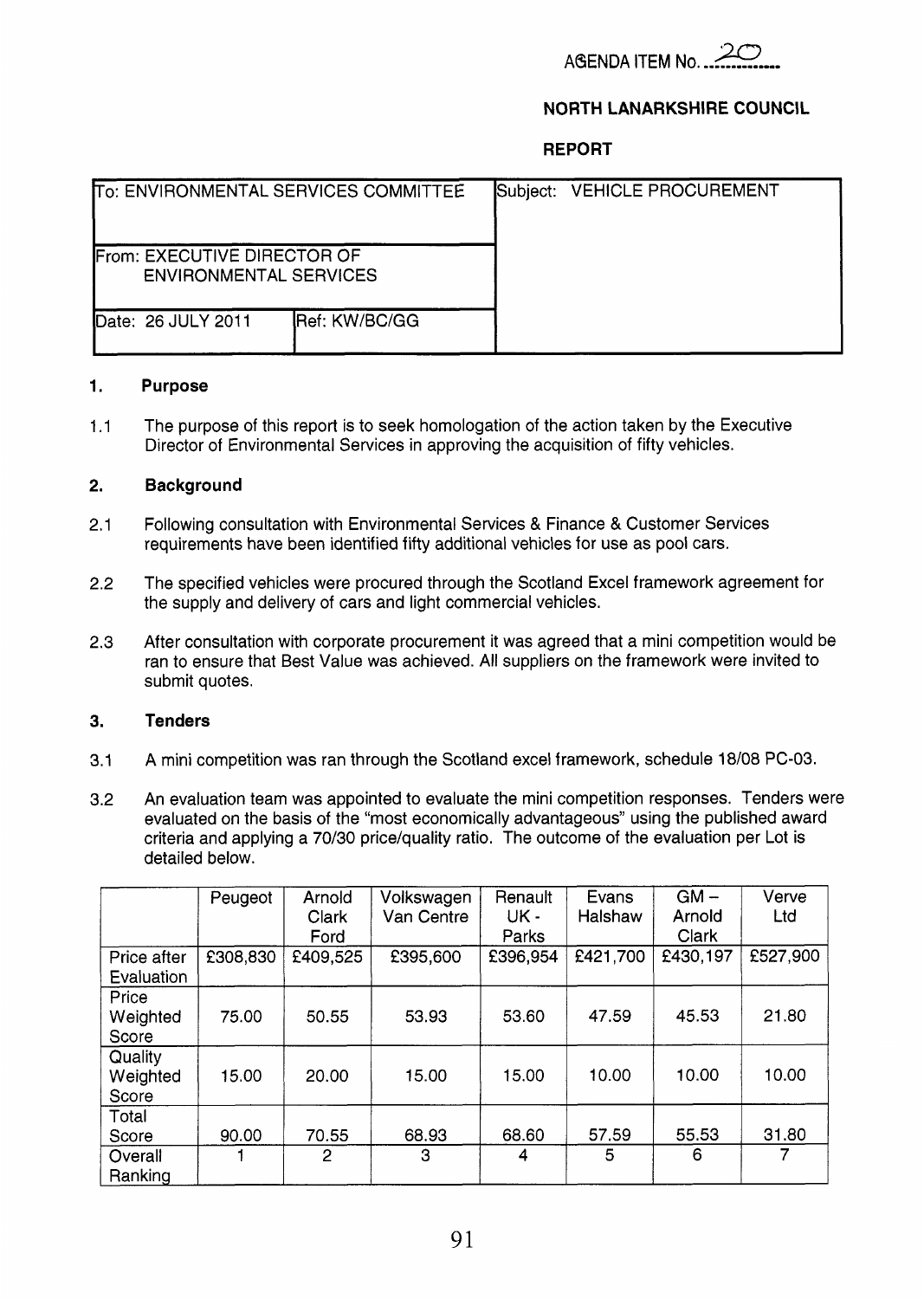

# NORTH LANARKSHIRE COUNCIL

**REPORT** 

| To: ENVIRONMENTAL SERVICES COMMITTEE                                 |                       |  | Subject: VEHICLE PROCUREMENT |  |
|----------------------------------------------------------------------|-----------------------|--|------------------------------|--|
| <b>IFrom: EXECUTIVE DIRECTOR OF</b><br><b>ENVIRONMENTAL SERVICES</b> |                       |  |                              |  |
| Date: 26 JULY 2011                                                   | <b>IRef: KW/BC/GG</b> |  |                              |  |

#### **1. Purpose**

1.1 The purpose of this report is to seek homologation of the action taken by the Executive Director of Environmental Services in approving the acquisition of fifty vehicles.

#### **2. Background**

- 2.1 Following consultation with Environmental Services & Finance & Customer Services requirements have been identified fifty additional vehicles for use as pool cars.
- 2.2 The specified vehicles were procured through the Scotland Excel framework agreement for the supply and delivery of cars and light commercial vehicles.
- 2.3 After consultation with corporate procurement it was agreed that a mini competition would be ran to ensure that Best Value was achieved. All suppliers on the framework were invited to submit quotes.

## **3. Ten de rs**

- 3.1 A mini competition was ran through the Scotland excel framework, schedule 18/08 PC-03.
- 3.2 An evaluation team was appointed to evaluate the mini competition responses. Tenders were evaluated on the basis of the "most economically advantageous" using the published award criteria and applying a 70/30 price/quality ratio. The outcome of the evaluation per Lot is detailed below.

|                                      | Peugeot  | Arnold<br>Clark<br>Ford | Volkswagen<br>Van Centre | Renault<br>UK -<br>Parks | Evans<br>Halshaw | $GM -$<br>Arnold<br>Clark | Verve<br>Ltd |
|--------------------------------------|----------|-------------------------|--------------------------|--------------------------|------------------|---------------------------|--------------|
| Price after<br>Evaluation            | £308,830 | £409,525                | £395,600                 | £396,954                 | £421,700         | £430,197                  | £527,900     |
| Price<br>Weighted<br>Score           | 75.00    | 50.55                   | 53.93                    | 53.60                    | 47.59            | 45.53                     | 21.80        |
| Quality<br>Weighted<br>Score         | 15.00    | 20.00                   | 15.00                    | 15.00                    | 10.00            | 10.00                     | 10.00        |
| Total<br>Score<br>Overall<br>Ranking | 90.00    | 70.55<br>2              | 68.93<br>3               | 68.60<br>4               | 57.59<br>5       | 55.53<br>6                | 31.80<br>7   |